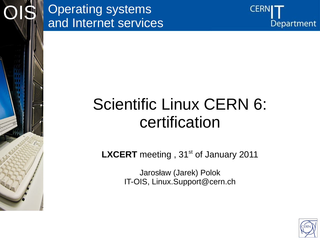

OIS



## Scientific Linux CERN 6: certification

**LXCERT** meeting, 31<sup>st</sup> of January 2011

Jarosław (Jarek) Polok IT-OIS, Linux.Support@cern.ch

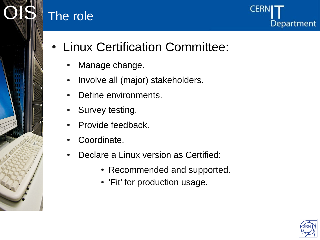### The role



- Linux Certification Committee:
	- Manage change.
	- Involve all (major) stakeholders.
	- Define environments.
	- Survey testing.
	- Provide feedback.
	- Coordinate.
	- Declare a Linux version as Certified:
		- Recommended and supported.
		- 'Fit' for production usage.

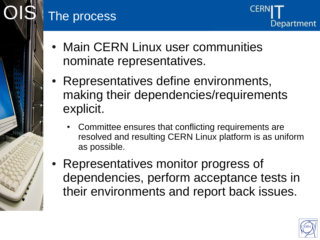#### The process

- Main CERN Linux user communities nominate representatives.
- Representatives define environments, making their dependencies/requirements explicit.
	- Committee ensures that conflicting requirements are resolved and resulting CERN Linux platform is as uniform as possible.
- Representatives monitor progress of dependencies, perform acceptance tests in their environments and report back issues.



**Department**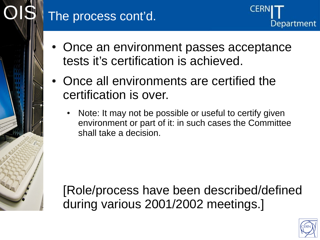#### The process cont'd.



- Once an environment passes acceptance tests it's certification is achieved.
- Once all environments are certified the certification is over.
	- Note: It may not be possible or useful to certify given environment or part of it: in such cases the Committee shall take a decision.

[Role/process have been described/defined during various 2001/2002 meetings.]

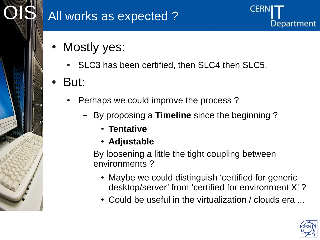

#### All works as expected ?

- Mostly yes:
	- SLC3 has been certified, then SLC4 then SLC5.
- But:
	- Perhaps we could improve the process?
		- By proposing a **Timeline** since the beginning ?
			- **Tentative**
			- **Adjustable**
		- By loosening a little the tight coupling between environments ?
			- Maybe we could distinguish 'certified for generic desktop/server' from 'certified for environment X' ?

CER

Department

• Could be useful in the virtualization / clouds era ...

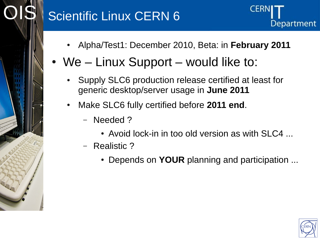#### **Scientific Linux CERN 6**



- Alpha/Test1: December 2010, Beta: in **February 2011**
- We  $-$  Linux Support  $-$  would like to:
	- Supply SLC6 production release certified at least for generic desktop/server usage in **June 2011**
	- Make SLC6 fully certified before **2011 end**.
		- Needed ?
			- $\bullet$  Avoid lock-in in too old version as with SLC4  $\ldots$
		- Realistic ?
			- Depends on **YOUR** planning and participation ...

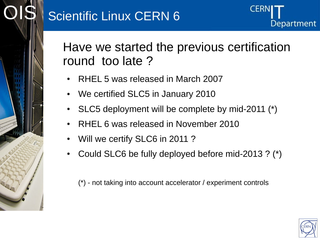

Have we started the previous certification round too late ?

- RHEL 5 was released in March 2007
- We certified SLC5 in January 2010
- SLC5 deployment will be complete by mid-2011 (\*)
- RHEL 6 was released in November 2010
- Will we certify SLC6 in 2011?
- Could SLC6 be fully deployed before mid-2013 ?  $(*)$

(\*) - not taking into account accelerator / experiment controls

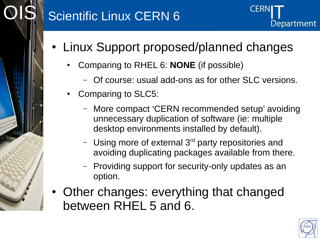#### Scientific Linux CERN 6



- Linux Support proposed/planned changes
	- Comparing to RHEL 6: **NONE** (if possible)
		- Of course: usual add-ons as for other SLC versions.
	- Comparing to SLC5:
		- More compact 'CERN recommended setup' avoiding unnecessary duplication of software (ie: multiple desktop environments installed by default).
		- Using more of external  $3<sup>rd</sup>$  party repositories and avoiding duplicating packages available from there.
		- Providing support for security-only updates as an option.
- Other changes: everything that changed between RHEL 5 and 6.

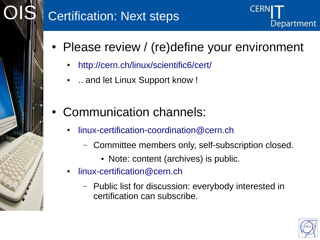

#### **Certification: Next steps**



CER

Department

- <http://cern.ch/linux/scientific6/cert/>
- .. and let Linux Support know !
- Communication channels:
	- [linux-certification-coordination@cern.ch](mailto:linux-certification-coordination@cern.ch)
		- Committee members only, self-subscription closed.
			- Note: content (archives) is public.
	- [linux-certification@cern.ch](mailto:linux-certification@cern.ch)
		- Public list for discussion: everybody interested in certification can subscribe.